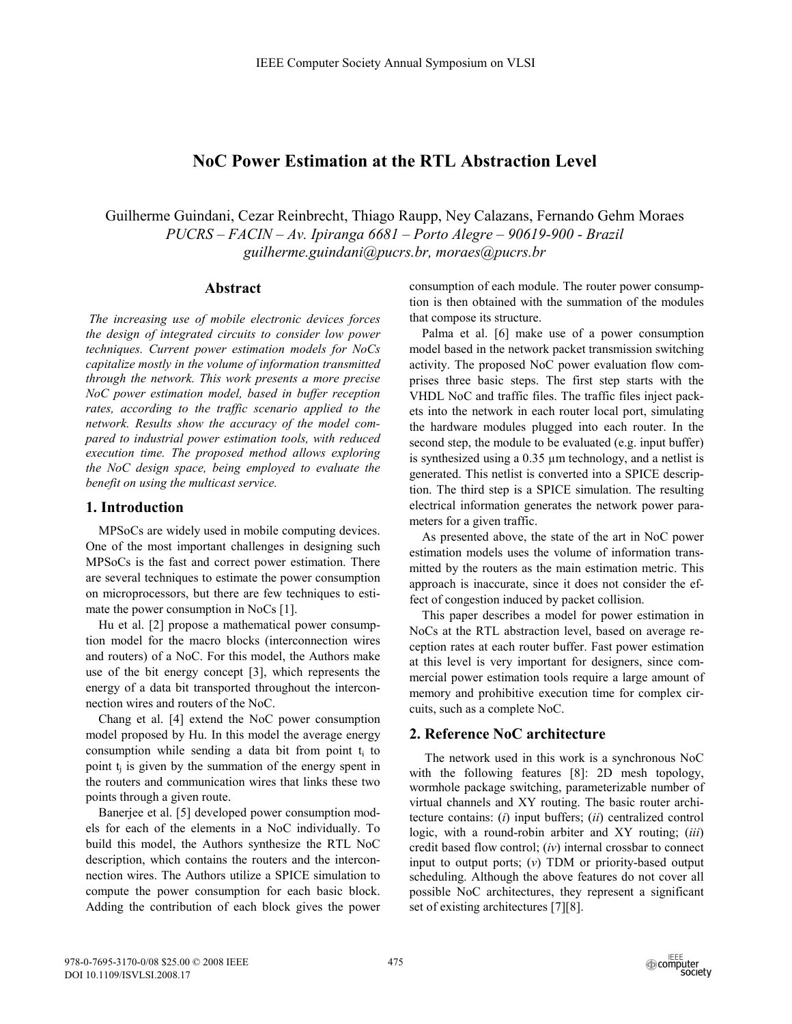# NoC Power Estimation at the RTL Abstraction Level

Guilherme Guindani, Cezar Reinbrecht, Thiago Raupp, Ney Calazans, Fernando Gehm Moraes  $PUCRS - FACTN - Av. Ipiranga 6681 - Porto Alegre - 90619-900 - Brazil$ guilherme.guindani@pucrs.br, moraes@pucrs.br

#### Abstract

 The increasing use of mobile electronic devices forces the design of integrated circuits to consider low power techniques. Current power estimation models for  $NoCs$ capitalize mostly in the volume of information transmitted through the network. This work presents a more precise NoC power estimation model, based in buffer reception rates, according to the traffic scenario applied to the network. Results show the accuracy of the model compared to industrial power estimation tools, with reduced execution time. The proposed method allows exploring the  $NoC$  design space, being employed to evaluate the benefit on using the multicast service.

#### 1. Introduction

MPSoCs are widely used in mobile computing devices. One of the most important challenges in designing such MPSoCs is the fast and correct power estimation. There are several techniques to estimate the power consumption on microprocessors, but there are few techniques to estimate the power consumption in NoCs [1].

Hu et al. [2] propose a mathematical power consumption model for the macro blocks (interconnection wires and routers) of a NoC. For this model, the Authors make use of the bit energy concept [3], which represents the energy of a data bit transported throughout the interconnection wires and routers of the NoC.

Chang et al. [4] extend the NoC power consumption model proposed by Hu. In this model the average energy consumption while sending a data bit from point  $t_i$  to point  $t_j$  is given by the summation of the energy spent in the routers and communication wires that links these two points through a given route.

Banerjee et al. [5] developed power consumption models for each of the elements in a NoC individually. To build this model, the Authors synthesize the RTL NoC description, which contains the routers and the interconnection wires. The Authors utilize a SPICE simulation to compute the power consumption for each basic block. Adding the contribution of each block gives the power consumption of each module. The router power consumption is then obtained with the summation of the modules that compose its structure.

Palma et al. [6] make use of a power consumption model based in the network packet transmission switching activity. The proposed NoC power evaluation flow comprises three basic steps. The first step starts with the VHDL NoC and traffic files. The traffic files inject packets into the network in each router local port, simulating the hardware modules plugged into each router. In the second step, the module to be evaluated (e.g. input buffer) is synthesized using a 0.35 µm technology, and a netlist is generated. This netlist is converted into a SPICE description. The third step is a SPICE simulation. The resulting electrical information generates the network power parameters for a given traffic.

As presented above, the state of the art in NoC power estimation models uses the volume of information transmitted by the routers as the main estimation metric. This approach is inaccurate, since it does not consider the effect of congestion induced by packet collision.

This paper describes a model for power estimation in NoCs at the RTL abstraction level, based on average reception rates at each router buffer. Fast power estimation at this level is very important for designers, since commercial power estimation tools require a large amount of memory and prohibitive execution time for complex circuits, such as a complete NoC.

## 2. Reference NoC architecture

The network used in this work is a synchronous NoC with the following features [8]: 2D mesh topology, wormhole package switching, parameterizable number of virtual channels and XY routing. The basic router architecture contains:  $(i)$  input buffers;  $(ii)$  centralized control logic, with a round-robin arbiter and XY routing; *(iii)* credit based flow control; (iv) internal crossbar to connect input to output ports; (v) TDM or priority-based output scheduling. Although the above features do not cover all possible NoC architectures, they represent a significant set of existing architectures [7][8].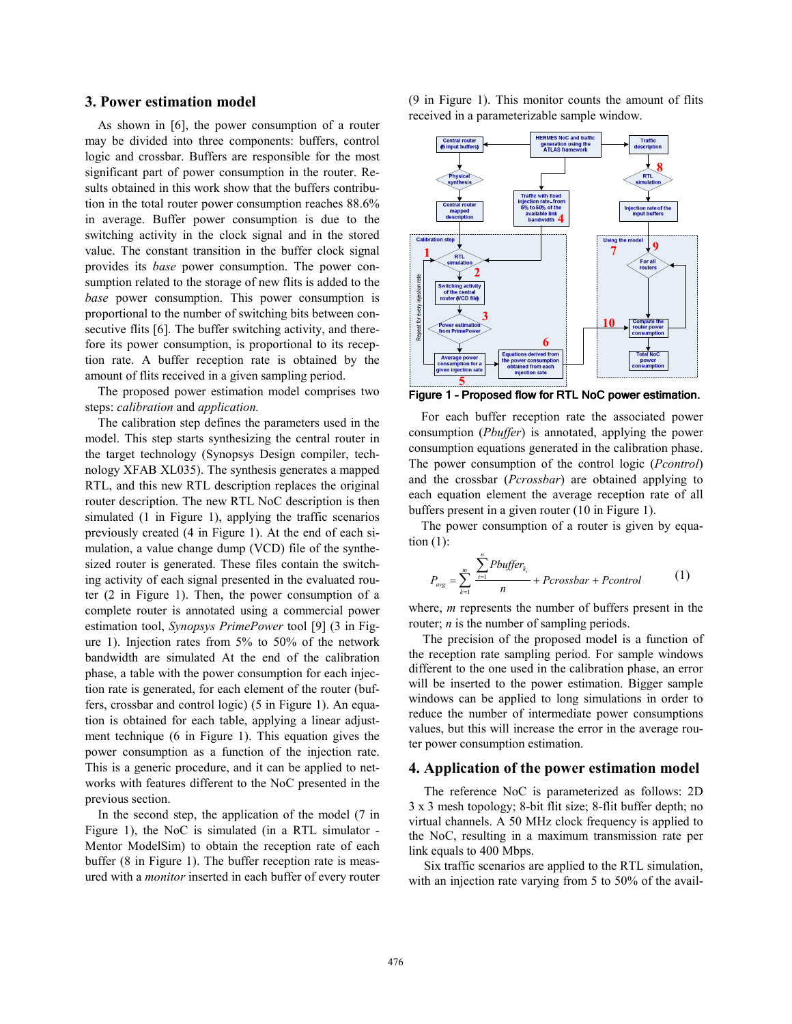#### 3. Power estimation model

As shown in [6], the power consumption of a router may be divided into three components: buffers, control logic and crossbar. Buffers are responsible for the most significant part of power consumption in the router. Results obtained in this work show that the buffers contribution in the total router power consumption reaches 88.6% in average. Buffer power consumption is due to the switching activity in the clock signal and in the stored value. The constant transition in the buffer clock signal provides its base power consumption. The power consumption related to the storage of new flits is added to the base power consumption. This power consumption is proportional to the number of switching bits between consecutive flits [6]. The buffer switching activity, and therefore its power consumption, is proportional to its reception rate. A buffer reception rate is obtained by the amount of flits received in a given sampling period.

The proposed power estimation model comprises two steps: calibration and application.

The calibration step defines the parameters used in the model. This step starts synthesizing the central router in the target technology (Synopsys Design compiler, technology XFAB XL035). The synthesis generates a mapped RTL, and this new RTL description replaces the original router description. The new RTL NoC description is then simulated (1 in Figure 1), applying the traffic scenarios previously created (4 in Figure 1). At the end of each simulation, a value change dump (VCD) file of the synthesized router is generated. These files contain the switching activity of each signal presented in the evaluated router (2 in Figure 1). Then, the power consumption of a complete router is annotated using a commercial power estimation tool, Synopsys PrimePower tool [9] (3 in Figure 1). Injection rates from 5% to 50% of the network bandwidth are simulated At the end of the calibration phase, a table with the power consumption for each injection rate is generated, for each element of the router (buffers, crossbar and control logic) (5 in Figure 1). An equation is obtained for each table, applying a linear adjustment technique (6 in Figure 1). This equation gives the power consumption as a function of the injection rate. This is a generic procedure, and it can be applied to networks with features different to the NoC presented in the previous section.

In the second step, the application of the model (7 in Figure 1), the NoC is simulated (in a RTL simulator - Mentor ModelSim) to obtain the reception rate of each buffer (8 in Figure 1). The buffer reception rate is measured with a monitor inserted in each buffer of every router (9 in Figure 1). This monitor counts the amount of flits received in a parameterizable sample window.



Figure 1 - Proposed flow for RTL NoC power estimation.

For each buffer reception rate the associated power consumption (Pbuffer) is annotated, applying the power consumption equations generated in the calibration phase. The power consumption of the control logic (Pcontrol) and the crossbar (Pcrossbar) are obtained applying to each equation element the average reception rate of all buffers present in a given router (10 in Figure 1).

The power consumption of a router is given by equation  $(1)$ :

$$
P_{\text{avg}} = \sum_{k=1}^{m} \frac{\sum_{i=1}^{n} Pbuffer_{k_i}}{n} + Pcrossbar + Pcontrol \tag{1}
$$

where, *m* represents the number of buffers present in the router; *n* is the number of sampling periods.

The precision of the proposed model is a function of the reception rate sampling period. For sample windows different to the one used in the calibration phase, an error will be inserted to the power estimation. Bigger sample windows can be applied to long simulations in order to reduce the number of intermediate power consumptions values, but this will increase the error in the average router power consumption estimation.

#### 4. Application of the power estimation model

The reference NoC is parameterized as follows: 2D 3 x 3 mesh topology; 8-bit flit size; 8-flit buffer depth; no virtual channels. A 50 MHz clock frequency is applied to the NoC, resulting in a maximum transmission rate per link equals to 400 Mbps.

Six traffic scenarios are applied to the RTL simulation, with an injection rate varying from 5 to 50% of the avail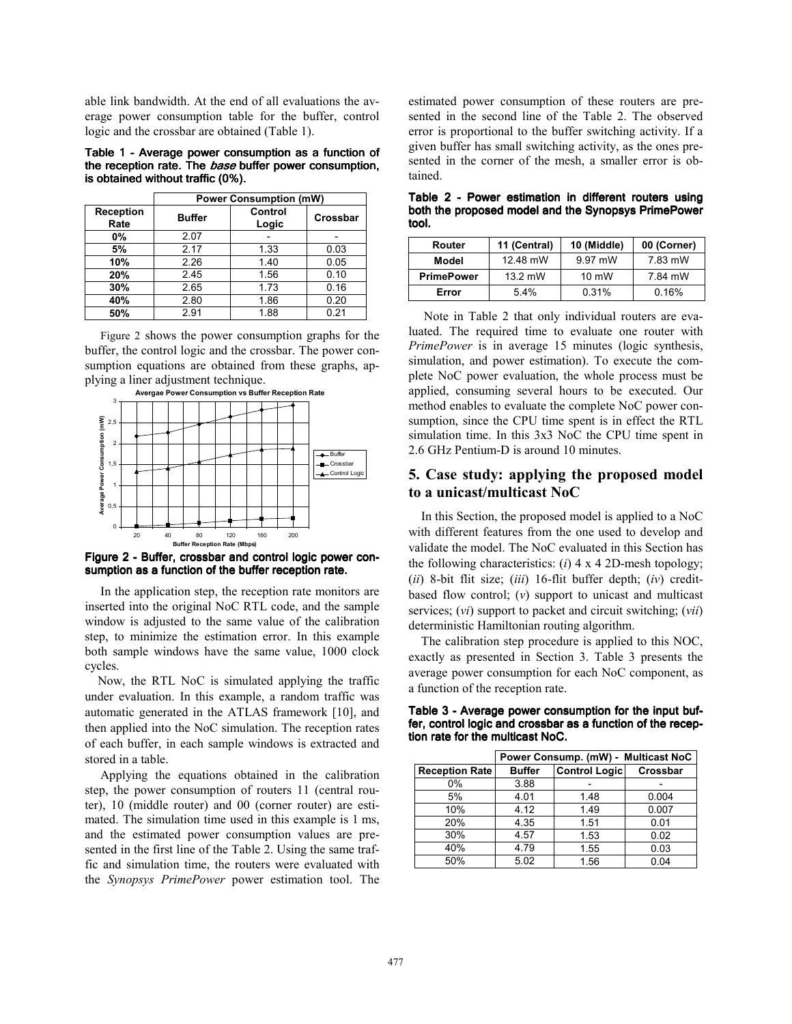able link bandwidth. At the end of all evaluations the average power consumption table for the buffer, control logic and the crossbar are obtained (Table 1).

Table 1 - Average power consumption as a function of the reception rate. The base buffer power consumption, is obtained without traffic (0%).

|                          | <b>Power Consumption (mW)</b> |                  |          |
|--------------------------|-------------------------------|------------------|----------|
| <b>Reception</b><br>Rate | <b>Buffer</b>                 | Control<br>Logic | Crossbar |
| 0%                       | 2.07                          |                  |          |
| 5%                       | 2.17                          | 1.33             | 0.03     |
| 10%                      | 2.26                          | 1.40             | 0.05     |
| 20%                      | 2.45                          | 1.56             | 0.10     |
| 30%                      | 2.65                          | 1.73             | 0.16     |
| 40%                      | 2.80                          | 1.86             | 0.20     |
| 50%                      | 2.91                          | 1.88             | 0.21     |

Figure 2 shows the power consumption graphs for the buffer, the control logic and the crossbar. The power consumption equations are obtained from these graphs, applying a liner adjustment technique.



Figure 2 - Buffer, crossbar and control logic power consumption as a function of the buffer reception rate.

In the application step, the reception rate monitors are inserted into the original NoC RTL code, and the sample window is adjusted to the same value of the calibration step, to minimize the estimation error. In this example both sample windows have the same value, 1000 clock cycles.

Now, the RTL NoC is simulated applying the traffic under evaluation. In this example, a random traffic was automatic generated in the ATLAS framework [10], and then applied into the NoC simulation. The reception rates of each buffer, in each sample windows is extracted and stored in a table.

Applying the equations obtained in the calibration step, the power consumption of routers 11 (central router), 10 (middle router) and 00 (corner router) are estimated. The simulation time used in this example is 1 ms, and the estimated power consumption values are presented in the first line of the Table 2. Using the same traffic and simulation time, the routers were evaluated with the Synopsys PrimePower power estimation tool. The estimated power consumption of these routers are presented in the second line of the Table 2. The observed error is proportional to the buffer switching activity. If a given buffer has small switching activity, as the ones presented in the corner of the mesh, a smaller error is obtained.

Table 2 - Power estimation in different routers using both the proposed model and the Synopsys PrimePower tool.

| Router            | 11 (Central) | 10 (Middle)     | 00 (Corner) |
|-------------------|--------------|-----------------|-------------|
| Model             | 12.48 mW     | 9.97 mW         | 7.83 mW     |
| <b>PrimePower</b> | $13.2$ mW    | $10 \text{ mW}$ | 7.84 mW     |
| Error             | $5.4\%$      | 0.31%           | 0.16%       |

Note in Table 2 that only individual routers are evaluated. The required time to evaluate one router with PrimePower is in average 15 minutes (logic synthesis, simulation, and power estimation). To execute the complete NoC power evaluation, the whole process must be applied, consuming several hours to be executed. Our method enables to evaluate the complete NoC power consumption, since the CPU time spent is in effect the RTL simulation time. In this 3x3 NoC the CPU time spent in 2.6 GHz Pentium-D is around 10 minutes.

# 5. Case study: applying the proposed model to a unicast/multicast  $NoC$

In this Section, the proposed model is applied to a NoC with different features from the one used to develop and validate the model. The NoC evaluated in this Section has the following characteristics:  $(i)$  4 x 4 2D-mesh topology; (ii) 8-bit flit size; (iii) 16-flit buffer depth; (iv) creditbased flow control;  $(v)$  support to unicast and multicast services; (*vi*) support to packet and circuit switching; (*vii*) deterministic Hamiltonian routing algorithm.

The calibration step procedure is applied to this NOC, exactly as presented in Section 3. Table 3 presents the average power consumption for each NoC component, as a function of the reception rate.

|                       | Power Consump. (mW) - Multicast NoC |                      |          |
|-----------------------|-------------------------------------|----------------------|----------|
| <b>Reception Rate</b> | <b>Buffer</b>                       | <b>Control Logic</b> | Crossbar |
| $0\%$                 | 3.88                                |                      |          |
| 5%                    | 4.01                                | 1.48                 | 0.004    |
| 10%                   | 4.12                                | 1.49                 | 0.007    |
| 20%                   | 4.35                                | 1.51                 | 0.01     |
| 30%                   | 4.57                                | 1.53                 | 0.02     |
| 40%                   | 4.79                                | 1.55                 | 0.03     |
| 50%                   | 5.02                                | 1.56                 | 0.04     |

Table 3 - Average power consumption for the input buffer, control logic and crossbar as a function of the reception rate for the multicast NoC.